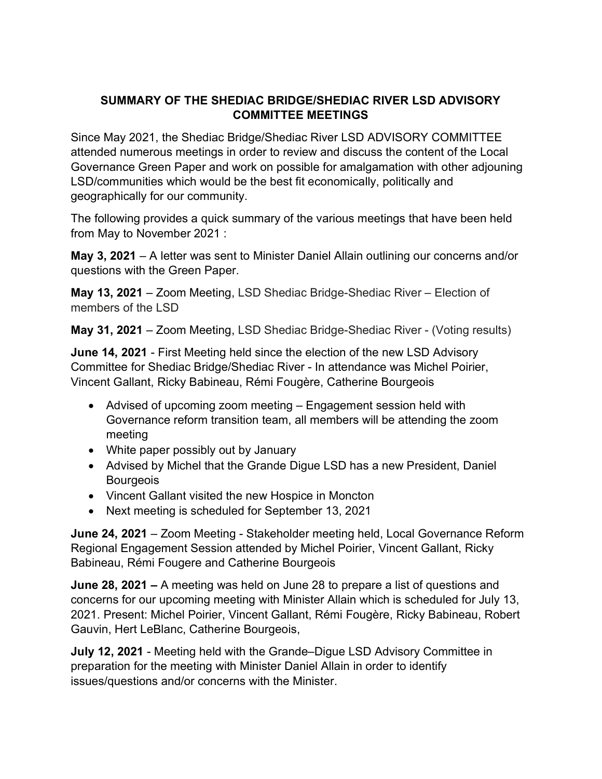## SUMMARY OF THE SHEDIAC BRIDGE/SHEDIAC RIVER LSD ADVISORY COMMITTEE MEETINGS

Since May 2021, the Shediac Bridge/Shediac River LSD ADVISORY COMMITTEE attended numerous meetings in order to review and discuss the content of the Local Governance Green Paper and work on possible for amalgamation with other adjouning LSD/communities which would be the best fit economically, politically and geographically for our community.

The following provides a quick summary of the various meetings that have been held from May to November 2021 :

May 3, 2021 – A letter was sent to Minister Daniel Allain outlining our concerns and/or questions with the Green Paper.

May 13, 2021 – Zoom Meeting, LSD Shediac Bridge-Shediac River – Election of members of the LSD

May 31, 2021 – Zoom Meeting, LSD Shediac Bridge-Shediac River - (Voting results)

June 14, 2021 - First Meeting held since the election of the new LSD Advisory Committee for Shediac Bridge/Shediac River - In attendance was Michel Poirier, Vincent Gallant, Ricky Babineau, Rémi Fougère, Catherine Bourgeois

- Advised of upcoming zoom meeting Engagement session held with Governance reform transition team, all members will be attending the zoom meeting
- White paper possibly out by January
- Advised by Michel that the Grande Digue LSD has a new President, Daniel **Bourgeois**
- Vincent Gallant visited the new Hospice in Moncton
- Next meeting is scheduled for September 13, 2021

June 24, 2021 – Zoom Meeting - Stakeholder meeting held, Local Governance Reform Regional Engagement Session attended by Michel Poirier, Vincent Gallant, Ricky Babineau, Rémi Fougere and Catherine Bourgeois

June 28, 2021 – A meeting was held on June 28 to prepare a list of questions and concerns for our upcoming meeting with Minister Allain which is scheduled for July 13, 2021. Present: Michel Poirier, Vincent Gallant, Rémi Fougère, Ricky Babineau, Robert Gauvin, Hert LeBlanc, Catherine Bourgeois,

July 12, 2021 - Meeting held with the Grande–Digue LSD Advisory Committee in preparation for the meeting with Minister Daniel Allain in order to identify issues/questions and/or concerns with the Minister.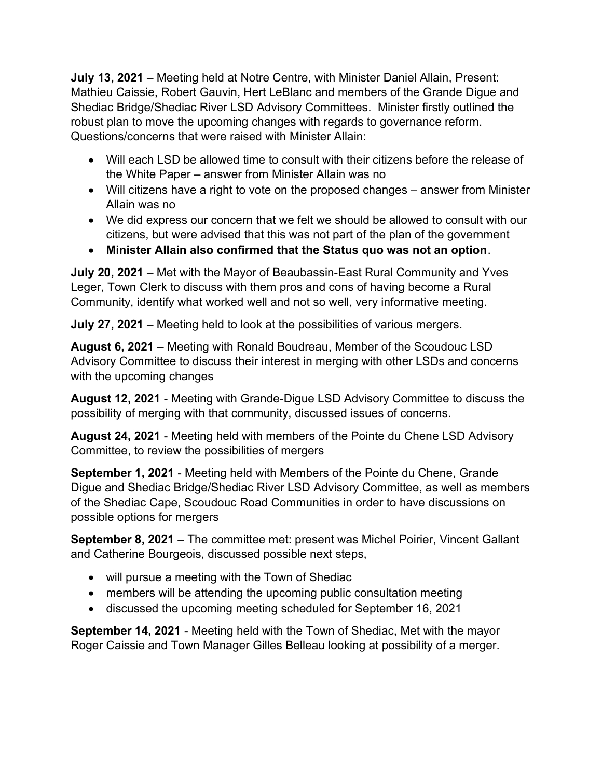July 13, 2021 – Meeting held at Notre Centre, with Minister Daniel Allain, Present: Mathieu Caissie, Robert Gauvin, Hert LeBlanc and members of the Grande Digue and Shediac Bridge/Shediac River LSD Advisory Committees. Minister firstly outlined the robust plan to move the upcoming changes with regards to governance reform. Questions/concerns that were raised with Minister Allain:

- Will each LSD be allowed time to consult with their citizens before the release of the White Paper – answer from Minister Allain was no
- Will citizens have a right to vote on the proposed changes answer from Minister Allain was no
- We did express our concern that we felt we should be allowed to consult with our citizens, but were advised that this was not part of the plan of the government
- Minister Allain also confirmed that the Status quo was not an option.

July 20, 2021 – Met with the Mayor of Beaubassin-East Rural Community and Yves Leger, Town Clerk to discuss with them pros and cons of having become a Rural Community, identify what worked well and not so well, very informative meeting.

July 27, 2021 – Meeting held to look at the possibilities of various mergers.

August 6, 2021 – Meeting with Ronald Boudreau, Member of the Scoudouc LSD Advisory Committee to discuss their interest in merging with other LSDs and concerns with the upcoming changes

August 12, 2021 - Meeting with Grande-Digue LSD Advisory Committee to discuss the possibility of merging with that community, discussed issues of concerns.

August 24, 2021 - Meeting held with members of the Pointe du Chene LSD Advisory Committee, to review the possibilities of mergers

September 1, 2021 - Meeting held with Members of the Pointe du Chene, Grande Digue and Shediac Bridge/Shediac River LSD Advisory Committee, as well as members of the Shediac Cape, Scoudouc Road Communities in order to have discussions on possible options for mergers

September 8, 2021 – The committee met: present was Michel Poirier, Vincent Gallant and Catherine Bourgeois, discussed possible next steps,

- will pursue a meeting with the Town of Shediac
- members will be attending the upcoming public consultation meeting
- discussed the upcoming meeting scheduled for September 16, 2021

September 14, 2021 - Meeting held with the Town of Shediac, Met with the mayor Roger Caissie and Town Manager Gilles Belleau looking at possibility of a merger.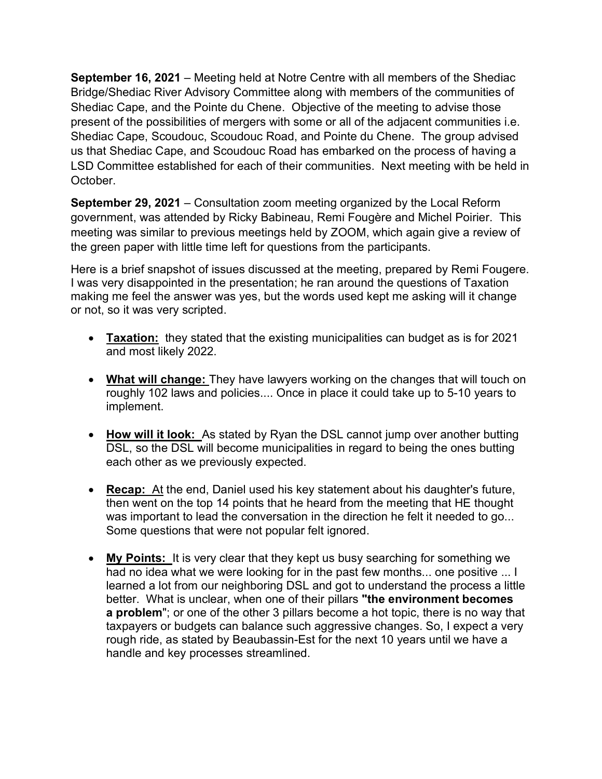September 16, 2021 – Meeting held at Notre Centre with all members of the Shediac Bridge/Shediac River Advisory Committee along with members of the communities of Shediac Cape, and the Pointe du Chene. Objective of the meeting to advise those present of the possibilities of mergers with some or all of the adjacent communities i.e. Shediac Cape, Scoudouc, Scoudouc Road, and Pointe du Chene. The group advised us that Shediac Cape, and Scoudouc Road has embarked on the process of having a LSD Committee established for each of their communities. Next meeting with be held in October.

September 29, 2021 – Consultation zoom meeting organized by the Local Reform government, was attended by Ricky Babineau, Remi Fougère and Michel Poirier. This meeting was similar to previous meetings held by ZOOM, which again give a review of the green paper with little time left for questions from the participants.

Here is a brief snapshot of issues discussed at the meeting, prepared by Remi Fougere. I was very disappointed in the presentation; he ran around the questions of Taxation making me feel the answer was yes, but the words used kept me asking will it change or not, so it was very scripted.

- Taxation: they stated that the existing municipalities can budget as is for 2021 and most likely 2022.
- What will change: They have lawyers working on the changes that will touch on roughly 102 laws and policies.... Once in place it could take up to 5-10 years to implement.
- How will it look: As stated by Ryan the DSL cannot jump over another butting DSL, so the DSL will become municipalities in regard to being the ones butting each other as we previously expected.
- Recap: At the end, Daniel used his key statement about his daughter's future, then went on the top 14 points that he heard from the meeting that HE thought was important to lead the conversation in the direction he felt it needed to go... Some questions that were not popular felt ignored.
- My Points: It is very clear that they kept us busy searching for something we had no idea what we were looking for in the past few months... one positive ... I learned a lot from our neighboring DSL and got to understand the process a little better. What is unclear, when one of their pillars "the environment becomes a problem"; or one of the other 3 pillars become a hot topic, there is no way that taxpayers or budgets can balance such aggressive changes. So, I expect a very rough ride, as stated by Beaubassin-Est for the next 10 years until we have a handle and key processes streamlined.